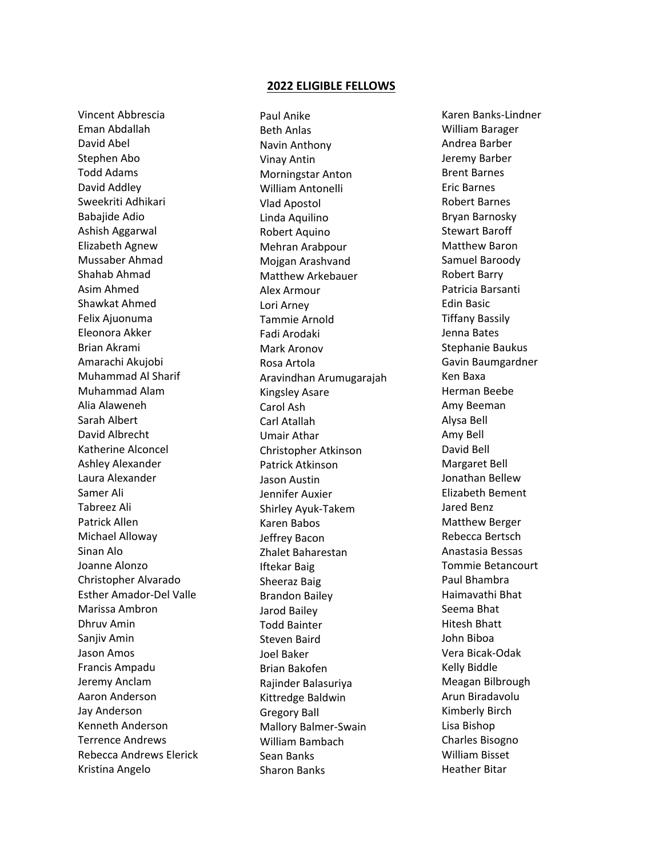## **2022 ELIGIBLE FELLOWS**

Vincent Abbrescia Eman Abdallah David Abel Stephen Abo Todd Adams David Addley Sweekriti Adhikari Babajide Adio Ashish Aggarwal Elizabeth Agnew Mussaber Ahmad Shahab Ahmad Asim Ahmed Shawkat Ahmed Felix Ajuonuma Eleonora Akker Brian Akrami Amarachi Akujobi Muhammad Al Sharif Muhammad Alam Alia Alaweneh Sarah Albert David Albrecht Katherine Alconcel Ashley Alexander Laura Alexander Samer Ali Tabreez Ali Patrick Allen Michael Alloway Sinan Alo Joanne Alonzo Christopher Alvarado Esther Amador-Del Valle Marissa Ambron Dhruv Amin Sanjiv Amin Jason Amos Francis Ampadu Jeremy Anclam Aaron Anderson Jay Anderson Kenneth Anderson Terrence Andrews Rebecca Andrews Elerick Kristina Angelo

Paul Anike Beth Anlas Navin Anthony Vinay Antin Morningstar Anton William Antonelli Vlad Apostol Linda Aquilino Robert Aquino Mehran Arabpour Mojgan Arashvand Matthew Arkebauer Alex Armour Lori Arney Tammie Arnold Fadi Arodaki Mark Aronov Rosa Artola Aravindhan Arumugarajah Kingsley Asare Carol Ash Carl Atallah Umair Athar Christopher Atkinson Patrick Atkinson Jason Austin Jennifer Auxier Shirley Ayuk-Takem Karen Babos Jeffrey Bacon Zhalet Baharestan Iftekar Baig Sheeraz Baig Brandon Bailey Jarod Bailey Todd Bainter Steven Baird Joel Baker Brian Bakofen Rajinder Balasuriya Kittredge Baldwin Gregory Ball Mallory Balmer-Swain William Bambach Sean Banks Sharon Banks

Karen Banks-Lindner William Barager Andrea Barber Jeremy Barber Brent Barnes Eric Barnes Robert Barnes Bryan Barnosky Stewart Baroff Matthew Baron Samuel Baroody Robert Barry Patricia Barsanti Edin Basic Tiffany Bassily Jenna Bates Stephanie Baukus Gavin Baumgardner Ken Baxa Herman Beebe Amy Beeman Alysa Bell Amy Bell David Bell Margaret Bell Jonathan Bellew Elizabeth Bement Jared Benz Matthew Berger Rebecca Bertsch Anastasia Bessas Tommie Betancourt Paul Bhambra Haimavathi Bhat Seema Bhat Hitesh Bhatt John Biboa Vera Bicak-Odak Kelly Biddle Meagan Bilbrough Arun Biradavolu Kimberly Birch Lisa Bishop Charles Bisogno William Bisset Heather Bitar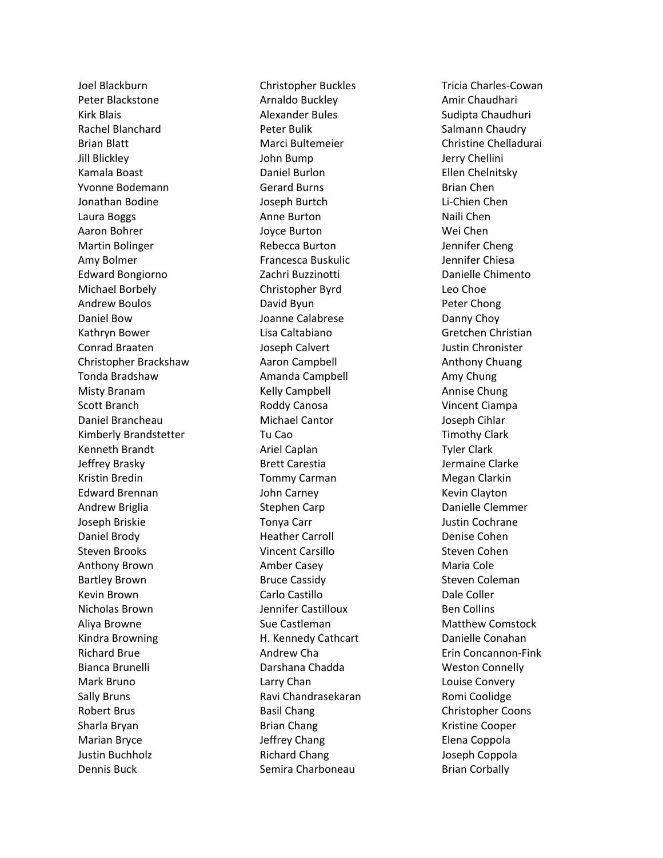Joel Blackburn Peter Blackstone Kirk Blais Rachel Blanchard Brian Blatt Jill Blickley Kamala Boast Yvonne Bodemann Jonathan Bodine Laura Boggs Aaron Bohrer Martin Bolinger Amy Bolmer Edward Bongiorno Michael Borbely Andrew Boulos Daniel Bow Kathryn Bower Conrad Braaten Christopher Brackshaw Tonda Bradshaw Misty Branam Scott Branch Daniel Brancheau Kimberly Brandstetter Kenneth Brandt Jeffrey Brasky Kristin Bredin Edward Brennan Andrew Briglia Joseph Briskie Daniel Brody Steven Brooks Anthony Brown Bartley Brown Kevin Brown Nicholas Brown Aliya Browne Kindra Browning Richard Brue Bianca Brunelli Mark Bruno Sally Bruns Robert Brus Sharla Bryan Marian Bryce Justin Buchholz Dennis Buck

Christopher Buckles Arnaldo Buckley Alexander Bules Peter Bulik Marci Bultemeier John Bump Daniel Burlon Gerard Burns Joseph Burtch Anne Burton Joyce Burton Rebecca Burton Francesca Buskulic Zachri Buzzinotti Christopher Byrd David Byun Joanne Calabrese Lisa Caltabiano Joseph Calvert Aaron Campbell Amanda Campbell Kelly Campbell Roddy Canosa Michael Cantor Tu Cao Ariel Caplan Brett Carestia Tommy Carman John Carney Stephen Carp Tonya Carr Heather Carroll Vincent Carsillo Amber Casey Bruce Cassidy Carlo Castillo Jennifer Castilloux Sue Castleman H. Kennedy Cathcart Andrew Cha Darshana Chadda Larry Chan Ravi Chandrasekaran Basil Chang Brian Chang Jeffrey Chang Richard Chang Semira Charboneau

Tricia Charles -Cowan Amir Chaudhari Sudipta Chaudhuri Salmann Chaudry Christine Chelladurai Jerry Chellini Ellen Chelnitsky Brian Chen Li -Chien Chen Naili Chen Wei Chen Jennifer Cheng Jennifer Chiesa Danielle Chimento Leo Choe Peter Chong Danny Choy Gretchen Christian Justin Chronister Anthony Chuang Amy Chung Annise Chung Vincent Ciampa Joseph Cihlar Timothy Clark Tyler Clark Jermaine Clarke Megan Clarkin Kevin Clayton Danielle Clemmer Justin Cochrane Denise Cohen Steven Cohen Maria Cole Steven Coleman Dale Coller Ben Collins Matthew Comstock Danielle Conahan Erin Concannon -Fink Weston Connelly Louise Convery Romi Coolidge Christopher Coons Kristine Cooper Elena Coppola Joseph Coppola Brian Corbally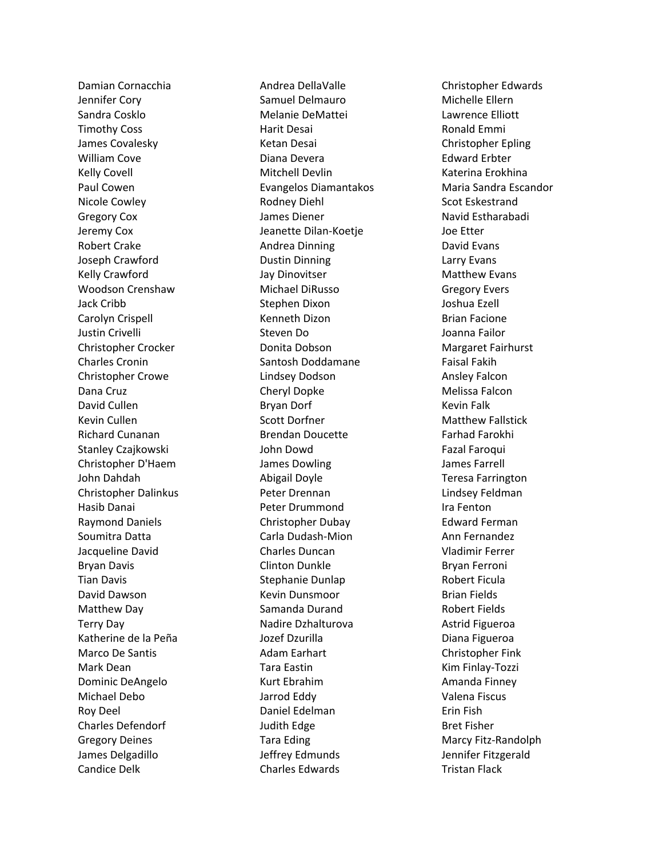Damian Cornacchia Jennifer Cory Sandra Cosklo Timothy Coss James Covalesky William Cove Kelly Covell Paul Cowen Nicole Cowley Gregory Cox Jeremy Cox Robert Crake Joseph Crawford Kelly Crawford Woodson Crenshaw Jack Cribb Carolyn Crispell Justin Crivelli Christopher Crocker Charles Cronin Christopher Crowe Dana Cruz David Cullen Kevin Cullen Richard Cunanan Stanley Czajkowski Christopher D'Haem John Dahdah Christopher Dalinkus Hasib Danai Raymond Daniels Soumitra Datta Jacqueline David Bryan Davis Tian Davis David Dawson Matthew Day Terry Day Katherine de la Peña Marco De Santis Mark Dean Dominic DeAngelo Michael Debo Roy Deel Charles Defendorf Gregory Deines James Delgadillo Candice Delk

Andrea DellaValle Samuel Delmauro Melanie DeMattei Harit Desai Ketan Desai Diana Devera Mitchell Devlin Evangelos Diamantakos Rodney Diehl James Diener Jeanette Dilan-Koetje Andrea Dinning Dustin Dinning Jay Dinovitser Michael DiRusso Stephen Dixon Kenneth Dizon Steven Do Donita Dobson Santosh Doddamane Lindsey Dodson Cheryl Dopke Bryan Dorf Scott Dorfner Brendan Doucette John Dowd James Dowling Abigail Doyle Peter Drennan Peter Drummond Christopher Dubay Carla Dudash-Mion Charles Duncan Clinton Dunkle Stephanie Dunlap Kevin Dunsmoor Samanda Durand Nadire Dzhalturova Jozef Dzurilla Adam Earhart Tara Eastin Kurt Ebrahim Jarrod Eddy Daniel Edelman Judith Edge Tara Eding Jeffrey Edmunds Charles Edwards

Christopher Edwards Michelle Ellern Lawrence Elliott Ronald Emmi Christopher Epling Edward Erbter Katerina Erokhina Maria Sandra Escandor Scot Eskestrand Navid Estharabadi Joe Etter David Evans Larry Evans Matthew Evans Gregory Evers Joshua Ezell Brian Facione Joanna Failor Margaret Fairhurst Faisal Fakih Ansley Falcon Melissa Falcon Kevin Falk Matthew Fallstick Farhad Farokhi Fazal Faroqui James Farrell Teresa Farrington Lindsey Feldman Ira Fenton Edward Ferman Ann Fernandez Vladimir Ferrer Bryan Ferroni Robert Ficula Brian Fields Robert Fields Astrid Figueroa Diana Figueroa Christopher Fink Kim Finlay-Tozzi Amanda Finney Valena Fiscus Erin Fish Bret Fisher Marcy Fitz-Randolph Jennifer Fitzgerald Tristan Flack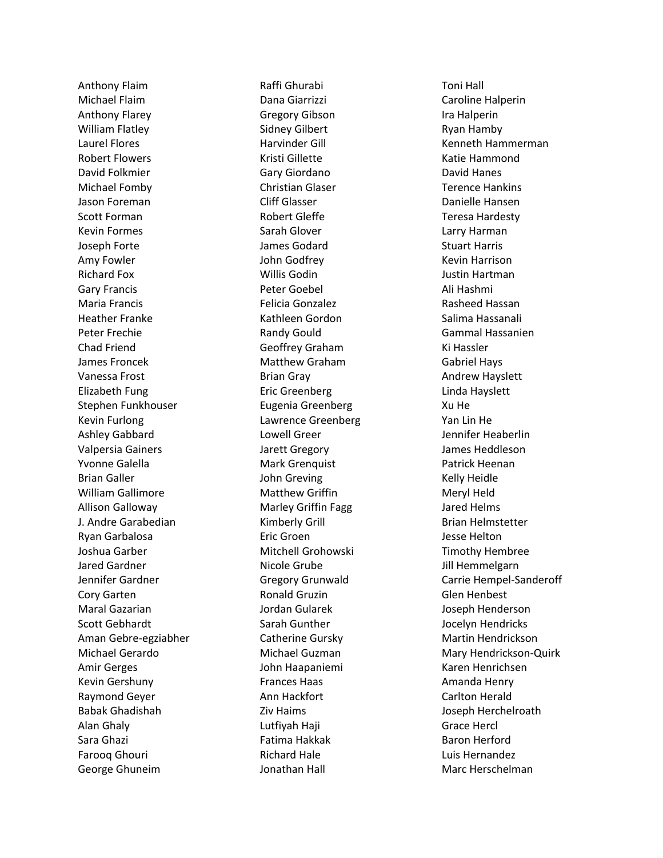Anthony Flaim Michael Flaim Anthony Flarey William Flatley Laurel Flores Robert Flowers David Folkmier Michael Fomby Jason Foreman Scott Forman Kevin Formes Joseph Forte Amy Fowler Richard Fox Gary Francis Maria Francis Heather Franke Peter Frechie Chad Friend James Froncek Vanessa Frost Elizabeth Fung Stephen Funkhouser Kevin Furlong Ashley Gabbard Valpersia Gainers Yvonne Galella Brian Galler William Gallimore Allison Galloway J. Andre Garabedian Ryan Garbalosa Joshua Garber Jared Gardner Jennifer Gardner Cory Garten Maral Gazarian Scott Gebhardt Aman Gebre -egziabher Michael Gerardo Amir Gerges Kevin Gershuny Raymond Geyer Babak Ghadishah Alan Ghaly Sara Ghazi Farooq Ghouri George Ghuneim

Raffi Ghurabi Dana Giarrizzi Gregory Gibson Sidney Gilbert Harvinder Gill Kristi Gillette Gary Giordano Christian Glaser Cliff Glasser Robert Gleffe Sarah Glover James Godard John Godfrey Willis Godin Peter Goebel Felicia Gonzalez Kathleen Gordon Randy Gould Geoffrey Graham Matthew Graham Brian Gray Eric Greenberg Eugenia Greenberg Lawrence Greenberg Lowell Greer Jarett Gregory Mark Grenquist John Greving Matthew Griffin Marley Griffin Fagg Kimberly Grill Eric Groen Mitchell Grohowski Nicole Grube Gregory Grunwald Ronald Gruzin Jordan Gularek Sarah Gunther Catherine Gursky Michael Guzman John Haapaniemi Frances Haas Ann Hackfort Ziv Haims Lutfiyah Haji Fatima Hakkak Richard Hale Jonathan Hall

Toni Hall Caroline Halperin Ira Halperin Ryan Hamby Kenneth Hammerman Katie Hammond David Hanes Terence Hankins Danielle Hansen Teresa Hardesty Larry Harman Stuart Harris Kevin Harrison Justin Hartman Ali Hashmi Rasheed Hassan Salima Hassanali Gammal Hassanien Ki Hassler Gabriel Hays Andrew Hayslett Linda Hayslett Xu He Yan Lin He Jennifer Heaberlin James Heddleson Patrick Heenan Kelly Heidle Meryl Held Jared Helms Brian Helmstetter Jesse Helton Timothy Hembree Jill Hemmelgarn Carrie Hempel -Sanderoff Glen Henbest Joseph Henderson Jocelyn Hendricks Martin Hendrickson Mary Hendrickson -Quirk Karen Henrichsen Amanda Henry Carlton Herald Joseph Herchelroath Grace Hercl Baron Herford Luis Hernandez Marc Herschelman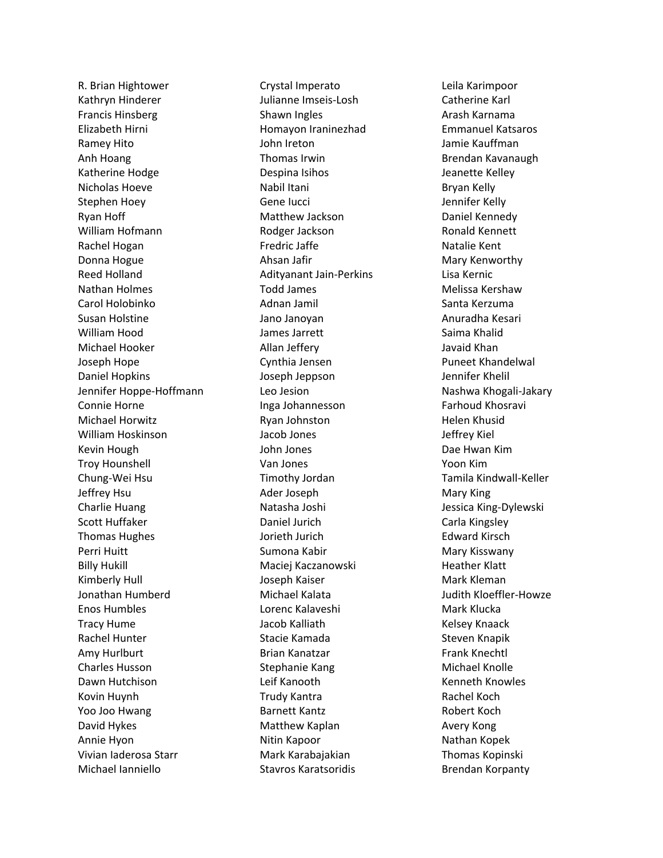R. Brian Hightower Kathryn Hinderer Francis Hinsberg Elizabeth Hirni Ramey Hito Anh Hoang Katherine Hodge Nicholas Hoeve Stephen Hoey Ryan Hoff William Hofmann Rachel Hogan Donna Hogue Reed Holland Nathan Holmes Carol Holobinko Susan Holstine William Hood Michael Hooker Joseph Hope Daniel Hopkins Jennifer Hoppe-Hoffmann Connie Horne Michael Horwitz William Hoskinson Kevin Hough Troy Hounshell Chung-Wei Hsu Jeffrey Hsu Charlie Huang Scott Huffaker Thomas Hughes Perri Huitt Billy Hukill Kimberly Hull Jonathan Humberd Enos Humbles Tracy Hume Rachel Hunter Amy Hurlburt Charles Husson Dawn Hutchison Kovin Huynh Yoo Joo Hwang David Hykes Annie Hyon Vivian Iaderosa Starr Michael Ianniello

Crystal Imperato Julianne Imseis-Losh Shawn Ingles Homayon Iraninezhad John Ireton Thomas Irwin Despina Isihos Nabil Itani Gene Iucci Matthew Jackson Rodger Jackson Fredric Jaffe Ahsan Jafir Adityanant Jain-Perkins Todd James Adnan Jamil Jano Janoyan James Jarrett Allan Jeffery Cynthia Jensen Joseph Jeppson Leo Jesion Inga Johannesson Ryan Johnston Jacob Jones John Jones Van Jones Timothy Jordan Ader Joseph Natasha Joshi Daniel Jurich Jorieth Jurich Sumona Kabir Maciej Kaczanowski Joseph Kaiser Michael Kalata Lorenc Kalaveshi Jacob Kalliath Stacie Kamada Brian Kanatzar Stephanie Kang Leif Kanooth Trudy Kantra Barnett Kantz Matthew Kaplan Nitin Kapoor Mark Karabajakian Stavros Karatsoridis

Leila Karimpoor Catherine Karl Arash Karnama Emmanuel Katsaros Jamie Kauffman Brendan Kavanaugh Jeanette Kelley Bryan Kelly Jennifer Kelly Daniel Kennedy Ronald Kennett Natalie Kent Mary Kenworthy Lisa Kernic Melissa Kershaw Santa Kerzuma Anuradha Kesari Saima Khalid Javaid Khan Puneet Khandelwal Jennifer Khelil Nashwa Khogali-Jakary Farhoud Khosravi Helen Khusid Jeffrey Kiel Dae Hwan Kim Yoon Kim Tamila Kindwall-Keller Mary King Jessica King-Dylewski Carla Kingsley Edward Kirsch Mary Kisswany Heather Klatt Mark Kleman Judith Kloeffler-Howze Mark Klucka Kelsey Knaack Steven Knapik Frank Knechtl Michael Knolle Kenneth Knowles Rachel Koch Robert Koch Avery Kong Nathan Kopek Thomas Kopinski Brendan Korpanty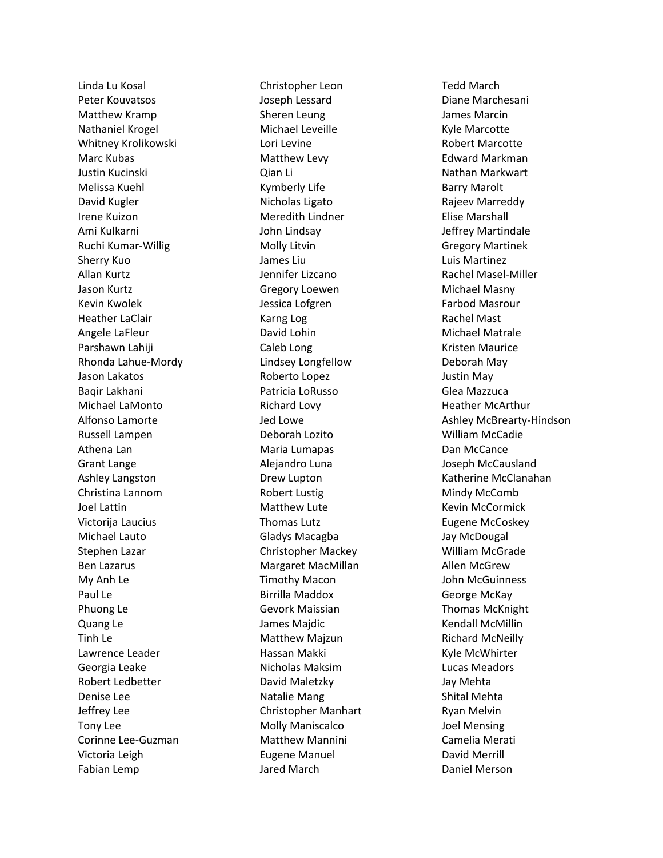Linda Lu Kosal Peter Kouvatsos Matthew Kramp Nathaniel Krogel Whitney Krolikowski Marc Kubas Justin Kucinski Melissa Kuehl David Kugler Irene Kuizon Ami Kulkarni Ruchi Kumar -Willig Sherry Kuo Allan Kurtz Jason Kurtz Kevin Kwolek Heather LaClair Angele LaFleur Parshawn Lahiji Rhonda Lahue -Mordy Jason Lakatos Baqir Lakhani Michael LaMonto Alfonso Lamorte Russell Lampen Athena Lan Grant Lange Ashley Langston Christina Lannom Joel Lattin Victorija Laucius Michael Lauto Stephen Lazar Ben Lazarus My Anh Le Paul Le Phuong Le Quang Le Tinh Le Lawrence Leader Georgia Leake Robert Ledbetter Denise Lee Jeffrey Lee Tony Lee Corinne Lee -Guzman Victoria Leigh Fabian Lemp

Christopher Leon Joseph Lessard Sheren Leung Michael Leveille Lori Levine Matthew Levy Qian Li Kymberly Life Nicholas Ligato Meredith Lindner John Lindsay Molly Litvin James Liu Jennifer Lizcano Gregory Loewen Jessica Lofgren Karng Log David Lohin Caleb Long Lindsey Longfellow Roberto Lopez Patricia LoRusso Richard Lovy Jed Lowe Deborah Lozito Maria Lumapas Alejandro Luna Drew Lupton Robert Lustig Matthew Lute Thomas Lutz Gladys Macagba Christopher Mackey Margaret MacMillan Timothy Macon Birrilla Maddox Gevork Maissian James Majdic Matthew Majzun Hassan Makki Nicholas Maksim David Maletzky Natalie Mang Christopher Manhart Molly Maniscalco Matthew Mannini Eugene Manuel Jared March

Tedd March Diane Marchesani James Marcin Kyle Marcotte Robert Marcotte Edward Markman Nathan Markwart Barry Marolt Rajeev Marreddy Elise Marshall Jeffrey Martindale Gregory Martinek Luis Martinez Rachel Masel -Miller Michael Masny Farbod Masrour Rachel Mast Michael Matrale Kristen Maurice Deborah May Justin May Glea Mazzuca Heather McArthur Ashley McBrearty -Hindson William McCadie Dan McCance Joseph McCausland Katherine McClanahan Mindy McComb Kevin McCormick Eugene McCoskey Jay McDougal William McGrade Allen McGrew John McGuinness George McKay Thomas McKnight Kendall McMillin Richard McNeilly Kyle McWhirter Lucas Meadors Jay Mehta Shital Mehta Ryan Melvin Joel Mensing Camelia Merati David Merrill Daniel Merson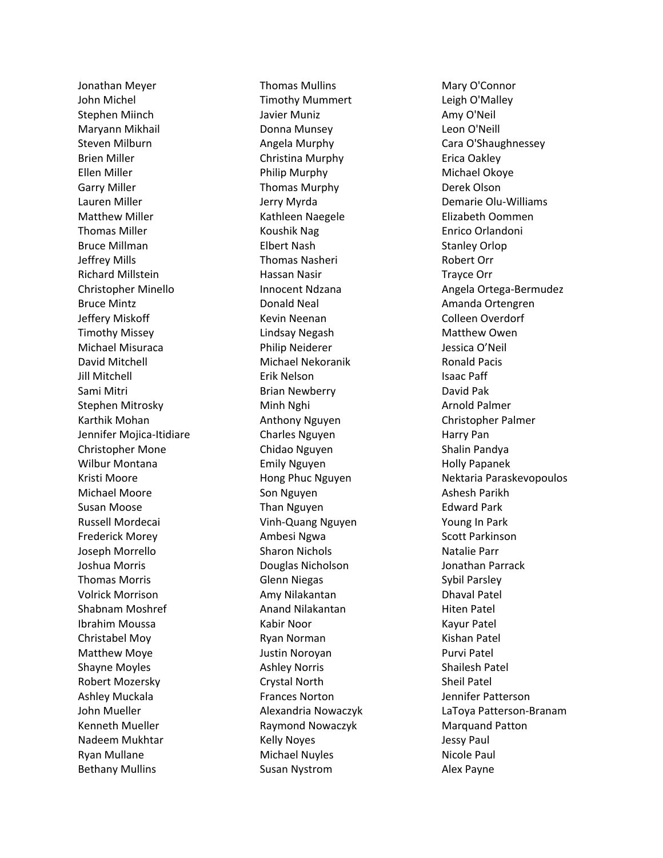Jonathan Meyer John Michel Stephen Miinch Maryann Mikhail Steven Milburn Brien Miller Ellen Miller Garry Miller Lauren Miller Matthew Miller Thomas Miller Bruce Millman Jeffrey Mills Richard Millstein Christopher Minello Bruce Mintz Jeffery Miskoff Timothy Missey Michael Misuraca David Mitchell Jill Mitchell Sami Mitri Stephen Mitrosky Karthik Mohan Jennifer Mojica -Itidiare Christopher Mone Wilbur Montana Kristi Moore Michael Moore Susan Moose Russell Mordecai Frederick Morey Joseph Morrello Joshua Morris Thomas Morris Volrick Morrison Shabnam Moshref Ibrahim Moussa Christabel Moy Matthew Moye Shayne Moyles Robert Mozersky Ashley Muckala John Mueller Kenneth Mueller Nadeem Mukhtar Ryan Mullane Bethany Mullins

Thomas Mullins Timothy Mummert Javier Muniz Donna Munsey Angela Murphy Christina Murphy Philip Murphy Thomas Murphy Jerry Myrda Kathleen Naegele Koushik Nag Elbert Nash Thomas Nasheri Hassan Nasir Innocent Ndzana Donald Neal Kevin Neenan Lindsay Negash Philip Neiderer Michael Nekoranik Erik Nelson Brian Newberry Minh Nghi Anthony Nguyen Charles Nguyen Chidao Nguyen Emily Nguyen Hong Phuc Nguyen Son Nguyen Than Nguyen Vinh -Quang Nguyen Ambesi Ngwa Sharon Nichols Douglas Nicholson Glenn Niegas Amy Nilakantan Anand Nilakantan Kabir Noor Ryan Norman Justin Noroyan Ashley Norris Crystal North Frances Norton Alexandria Nowaczyk Raymond Nowaczyk Kelly Noyes Michael Nuyles Susan Nystrom

Mary O'Connor Leigh O'Malley Amy O'Neil Leon O'Neill Cara O'Shaughnessey Erica Oakley Michael Okoye Derek Olson Demarie Olu -Williams Elizabeth Oommen Enrico Orlandoni Stanley Orlop Robert Orr Trayce Orr Angela Ortega -Bermudez Amanda Ortengren Colleen Overdorf Matthew Owen Jessica O'Neil Ronald Pacis Isaac Paff David Pak Arnold Palmer Christopher Palmer Harry Pan Shalin Pandya Holly Papanek Nektaria Paraskevopoulos Ashesh Parikh Edward Park Young In Park Scott Parkinson Natalie Parr Jonathan Parrack Sybil Parsley Dhaval Patel Hiten Patel Kayur Patel Kishan Patel Purvi Patel Shailesh Patel Sheil Patel Jennifer Patterson LaToya Patterson -Branam Marquand Patton Jessy Paul Nicole Paul Alex Payne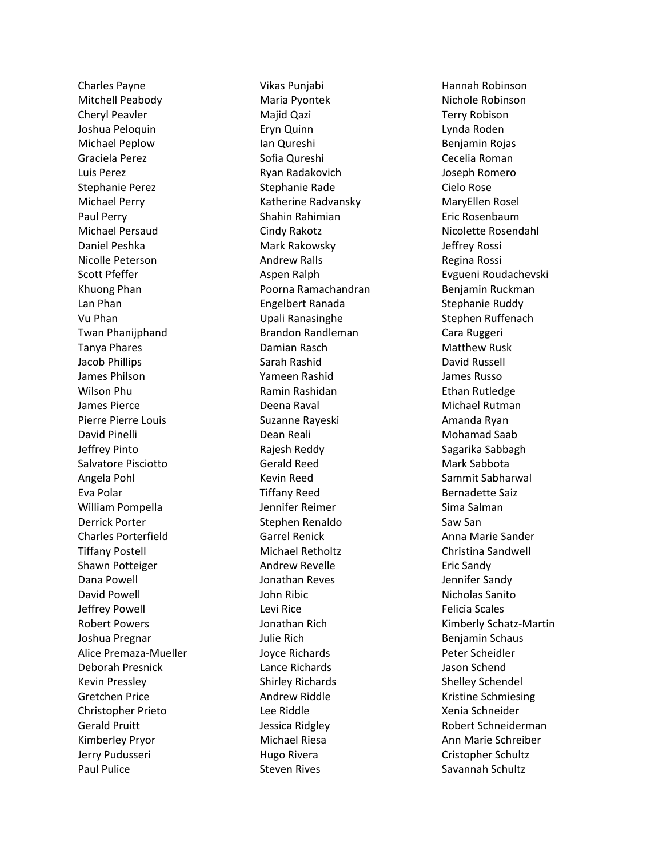Charles Payne Mitchell Peabody Cheryl Peavler Joshua Peloquin Michael Peplow Graciela Perez Luis Perez Stephanie Perez Michael Perry Paul Perry Michael Persaud Daniel Peshka Nicolle Peterson Scott Pfeffer Khuong Phan Lan Phan Vu Phan Twan Phanijphand Tanya Phares Jacob Phillips James Philson Wilson Phu James Pierce Pierre Pierre Louis David Pinelli Jeffrey Pinto Salvatore Pisciotto Angela Pohl Eva Polar William Pompella Derrick Porter Charles Porterfield Tiffany Postell Shawn Potteiger Dana Powell David Powell Jeffrey Powell Robert Powers Joshua Pregnar Alice Premaza-Mueller Deborah Presnick Kevin Pressley Gretchen Price Christopher Prieto Gerald Pruitt Kimberley Pryor Jerry Pudusseri Paul Pulice

Vikas Punjabi Maria Pyontek Majid Qazi Eryn Quinn Ian Qureshi Sofia Qureshi Ryan Radakovich Stephanie Rade Katherine Radvansky Shahin Rahimian Cindy Rakotz Mark Rakowsky Andrew Ralls Aspen Ralph Poorna Ramachandran Engelbert Ranada Upali Ranasinghe Brandon Randleman Damian Rasch Sarah Rashid Yameen Rashid Ramin Rashidan Deena Raval Suzanne Rayeski Dean Reali Rajesh Reddy Gerald Reed Kevin Reed Tiffany Reed Jennifer Reimer Stephen Renaldo Garrel Renick Michael Retholtz Andrew Revelle Jonathan Reves John Ribic Levi Rice Jonathan Rich Julie Rich Joyce Richards Lance Richards Shirley Richards Andrew Riddle Lee Riddle Jessica Ridgley Michael Riesa Hugo Rivera Steven Rives

Hannah Robinson Nichole Robinson Terry Robison Lynda Roden Benjamin Rojas Cecelia Roman Joseph Romero Cielo Rose MaryEllen Rosel Eric Rosenbaum Nicolette Rosendahl Jeffrey Rossi Regina Rossi Evgueni Roudachevski Benjamin Ruckman Stephanie Ruddy Stephen Ruffenach Cara Ruggeri Matthew Rusk David Russell James Russo Ethan Rutledge Michael Rutman Amanda Ryan Mohamad Saab Sagarika Sabbagh Mark Sabbota Sammit Sabharwal Bernadette Saiz Sima Salman Saw San Anna Marie Sander Christina Sandwell Eric Sandy Jennifer Sandy Nicholas Sanito Felicia Scales Kimberly Schatz-Martin Benjamin Schaus Peter Scheidler Jason Schend Shelley Schendel Kristine Schmiesing Xenia Schneider Robert Schneiderman Ann Marie Schreiber Cristopher Schultz Savannah Schultz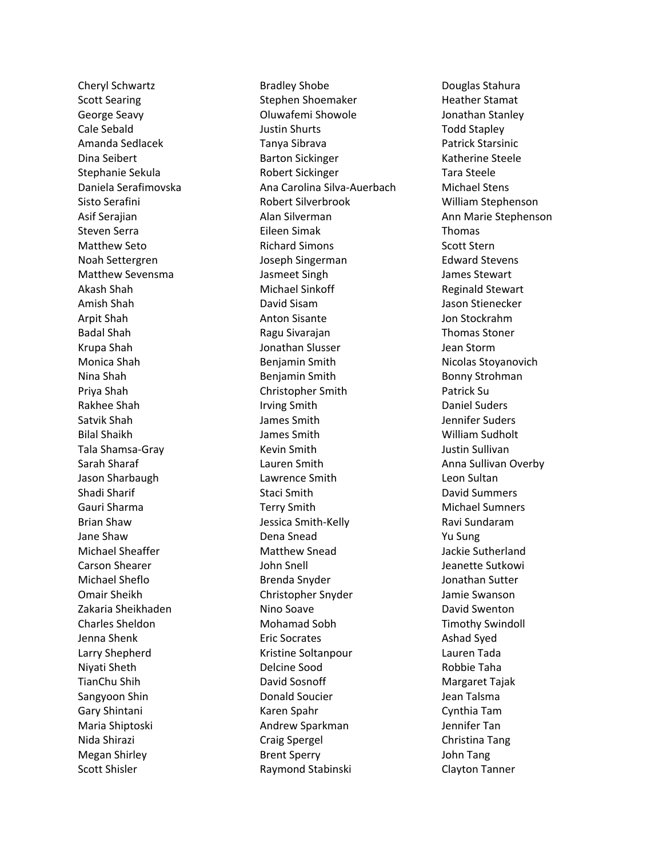Cheryl Schwartz Scott Searing George Seavy Cale Sebald Amanda Sedlacek Dina Seibert Stephanie Sekula Daniela Serafimovska Sisto Serafini Asif Serajian Steven Serra Matthew Seto Noah Settergren Matthew Sevensma Akash Shah Amish Shah Arpit Shah Badal Shah Krupa Shah Monica Shah Nina Shah Priya Shah Rakhee Shah Satvik Shah Bilal Shaikh Tala Shamsa-Gray Sarah Sharaf Jason Sharbaugh Shadi Sharif Gauri Sharma Brian Shaw Jane Shaw Michael Sheaffer Carson Shearer Michael Sheflo Omair Sheikh Zakaria Sheikhaden Charles Sheldon Jenna Shenk Larry Shepherd Niyati Sheth TianChu Shih Sangyoon Shin Gary Shintani Maria Shiptoski Nida Shirazi Megan Shirley Scott Shisler

Bradley Shobe Stephen Shoemaker Oluwafemi Showole Justin Shurts Tanya Sibrava Barton Sickinger Robert Sickinger Ana Carolina Silva-Auerbach Robert Silverbrook Alan Silverman Eileen Simak Richard Simons Joseph Singerman Jasmeet Singh Michael Sinkoff David Sisam Anton Sisante Ragu Sivarajan Jonathan Slusser Benjamin Smith Benjamin Smith Christopher Smith Irving Smith James Smith James Smith Kevin Smith Lauren Smith Lawrence Smith Staci Smith Terry Smith Jessica Smith-Kelly Dena Snead Matthew Snead John Snell Brenda Snyder Christopher Snyder Nino Soave Mohamad Sobh Eric Socrates Kristine Soltanpour Delcine Sood David Sosnoff Donald Soucier Karen Spahr Andrew Sparkman Craig Spergel Brent Sperry Raymond Stabinski

Douglas Stahura Heather Stamat Jonathan Stanley Todd Stapley Patrick Starsinic Katherine Steele Tara Steele Michael Stens William Stephenson Ann Marie Stephenson Thomas Scott Stern Edward Stevens James Stewart Reginald Stewart Jason Stienecker Jon Stockrahm Thomas Stoner Jean Storm Nicolas Stoyanovich Bonny Strohman Patrick Su Daniel Suders Jennifer Suders William Sudholt Justin Sullivan Anna Sullivan Overby Leon Sultan David Summers Michael Sumners Ravi Sundaram Yu Sung Jackie Sutherland Jeanette Sutkowi Jonathan Sutter Jamie Swanson David Swenton Timothy Swindoll Ashad Syed Lauren Tada Robbie Taha Margaret Tajak Jean Talsma Cynthia Tam Jennifer Tan Christina Tang John Tang Clayton Tanner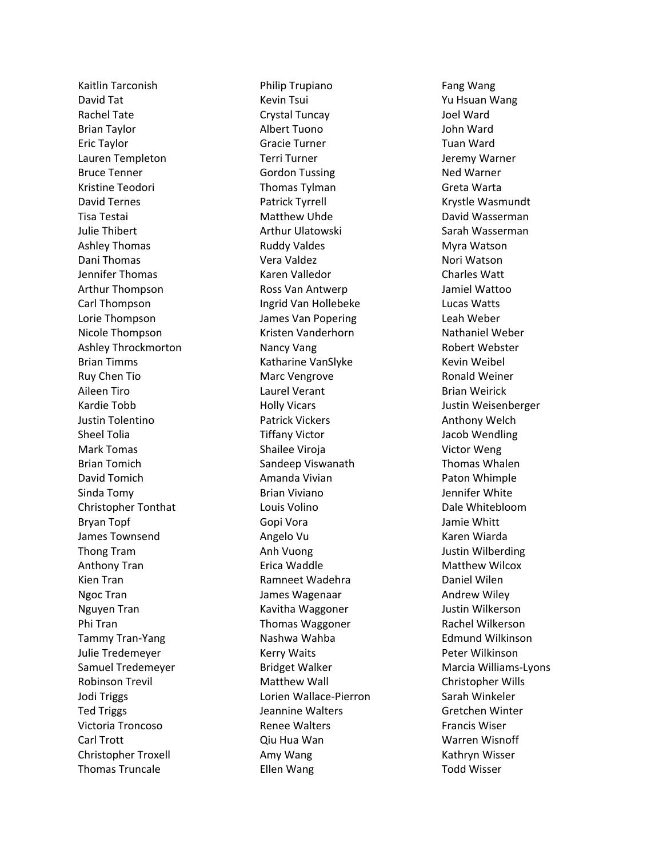Kaitlin Tarconish David Tat Rachel Tate Brian Taylor Eric Taylor Lauren Templeton Bruce Tenner Kristine Teodori David Ternes Tisa Testai Julie Thibert Ashley Thomas Dani Thomas Jennifer Thomas Arthur Thompson Carl Thompson Lorie Thompson Nicole Thompson Ashley Throckmorton Brian Timms Ruy Chen Tio Aileen Tiro Kardie Tobb Justin Tolentino Sheel Tolia Mark Tomas Brian Tomich David Tomich Sinda Tomy Christopher Tonthat Bryan Topf James Townsend Thong Tram Anthony Tran Kien Tran Ngoc Tran Nguyen Tran Phi Tran Tammy Tran -Yang Julie Tredemeyer Samuel Tredemeyer Robinson Trevil Jodi Triggs Ted Triggs Victoria Troncoso Carl Trott Christopher Troxell Thomas Truncale

Philip Trupiano Kevin Tsui Crystal Tuncay Albert Tuono Gracie Turner Terri Turner Gordon Tussing Thomas Tylman Patrick Tyrrell Matthew Uhde Arthur Ulatowski Ruddy Valdes Vera Valdez Karen Valledor Ross Van Antwerp Ingrid Van Hollebeke James Van Popering Kristen Vanderhorn Nancy Vang Katharine VanSlyke Marc Vengrove Laurel Verant Holly Vicars Patrick Vickers Tiffany Victor Shailee Viroja Sandeep Viswanath Amanda Vivian Brian Viviano Louis Volino Gopi Vora Angelo Vu Anh Vuong Erica Waddle Ramneet Wadehra James Wagenaar Kavitha Waggoner Thomas Waggoner Nashwa Wahba Kerry Waits Bridget Walker Matthew Wall Lorien Wallace -Pierron Jeannine Walters Renee Walters Qiu Hua Wan Amy Wang Ellen Wang

Fang Wang Yu Hsuan Wang Joel Ward John Ward Tuan Ward Jeremy Warner Ned Warner Greta Warta Krystle Wasmundt David Wasserman Sarah Wasserman Myra Watson Nori Watson Charles Watt Jamiel Wattoo Lucas Watts Leah Weber Nathaniel Weber Robert Webster Kevin Weibel Ronald Weiner Brian Weirick Justin Weisenberger Anthony Welch Jacob Wendling Victor Weng Thomas Whalen Paton Whimple Jennifer White Dale Whitebloom Jamie Whitt Karen Wiarda Justin Wilberding Matthew Wilcox Daniel Wilen Andrew Wiley Justin Wilkerson Rachel Wilkerson Edmund Wilkinson Peter Wilkinson Marcia Williams -Lyons Christopher Wills Sarah Winkeler Gretchen Winter Francis Wiser Warren Wisnoff Kathryn Wisser Todd Wisser